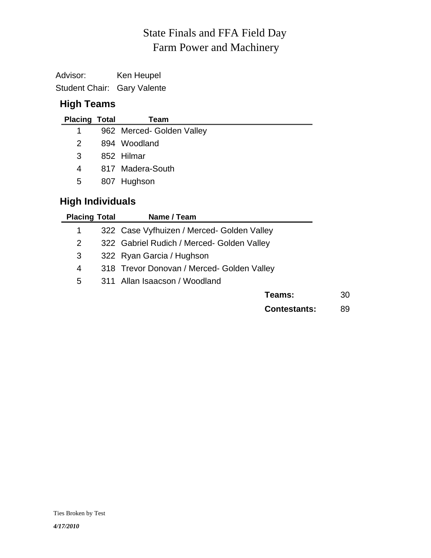# Farm Power and Machinery State Finals and FFA Field Day

Advisor: Ken Heupel Student Chair: Gary Valente

## **High Teams**

| <b>Placing Total</b> | Team                      |
|----------------------|---------------------------|
| 1                    | 962 Merced- Golden Valley |
| $\mathcal{P}$        | 894 Woodland              |
| З                    | 852 Hilmar                |
| 4                    | 817 Madera-South          |
| 5                    | 807 Hughson               |

# **High Individuals**

| <b>Placing Total</b>  | Name / Team                                |    |
|-----------------------|--------------------------------------------|----|
| 1                     | 322 Case Vyfhuizen / Merced- Golden Valley |    |
| $\mathbf{2}^{\prime}$ | 322 Gabriel Rudich / Merced- Golden Valley |    |
| 3                     | 322 Ryan Garcia / Hughson                  |    |
| 4                     | 318 Trevor Donovan / Merced- Golden Valley |    |
| 5                     | 311 Allan Isaacson / Woodland              |    |
|                       | Teams:                                     | 30 |
|                       | <b>Contestants:</b>                        | 89 |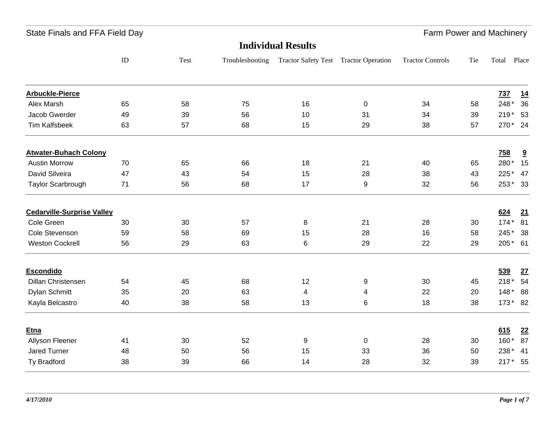| State Finals and FFA Field Day |  |  |
|--------------------------------|--|--|
|--------------------------------|--|--|

| <b>Individual Results</b>         |          |      |                 |                                       |           |                         |     |         |                         |
|-----------------------------------|----------|------|-----------------|---------------------------------------|-----------|-------------------------|-----|---------|-------------------------|
|                                   | $\rm ID$ | Test | Troubleshooting | Tractor Safety Test Tractor Operation |           | <b>Tractor Controls</b> | Tie | Total   | Place                   |
| <b>Arbuckle-Pierce</b>            |          |      |                 |                                       |           |                         |     | 737     | 14                      |
| Alex Marsh                        | 65       | 58   | 75              | 16                                    | $\pmb{0}$ | 34                      | 58  | 248*    | 36                      |
| Jacob Gwerder                     | 49       | 39   | 56              | 10                                    | 31        | 34                      | 39  | 219* 53 |                         |
| <b>Tim Kalfsbeek</b>              | 63       | 57   | 68              | 15                                    | 29        | 38                      | 57  | 270* 24 |                         |
| <b>Atwater-Buhach Colony</b>      |          |      |                 |                                       |           |                         |     | 758     | $\overline{\mathbf{a}}$ |
| <b>Austin Morrow</b>              | 70       | 65   | 66              | 18                                    | 21        | 40                      | 65  | 280*    | 15                      |
| David Silveira                    | 47       | 43   | 54              | 15                                    | 28        | 38                      | 43  | $225*$  | 47                      |
| <b>Taylor Scarbrough</b>          | 71       | 56   | 68              | 17                                    | 9         | 32                      | 56  | 253* 33 |                         |
| <b>Cedarville-Surprise Valley</b> |          |      |                 |                                       |           |                         |     | 624     | 21                      |
| Cole Green                        | 30       | 30   | 57              | 8                                     | 21        | 28                      | 30  | 174* 81 |                         |
| Cole Stevenson                    | 59       | 58   | 69              | 15                                    | 28        | 16                      | 58  | 245*    | - 38                    |
| <b>Weston Cockrell</b>            | 56       | 29   | 63              | 6                                     | 29        | 22                      | 29  | 205* 61 |                         |
| <b>Escondido</b>                  |          |      |                 |                                       |           |                         |     | 539     | 27                      |
| <b>Dillan Christensen</b>         | 54       | 45   | 68              | 12                                    | 9         | 30                      | 45  | $218*$  | 54                      |
| Dylan Schmitt                     | 35       | 20   | 63              | 4                                     | 4         | 22                      | 20  | 148* 88 |                         |
| Kayla Belcastro                   | 40       | 38   | 58              | 13                                    | 6         | 18                      | 38  | 173* 82 |                         |
| Etna                              |          |      |                 |                                       |           |                         |     | 615     | 22                      |
| Allyson Fleener                   | 41       | 30   | 52              | 9                                     | 0         | 28                      | 30  | $160*$  | 87                      |
| Jared Turner                      | 48       | 50   | 56              | 15                                    | 33        | 36                      | 50  | 238* 41 |                         |
| Ty Bradford                       | 38       | 39   | 66              | 14                                    | 28        | 32                      | 39  | 217* 55 |                         |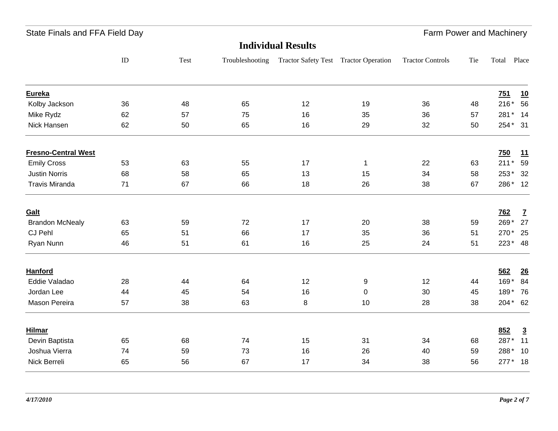| State Finals and FFA Field Day |  |  |
|--------------------------------|--|--|
|--------------------------------|--|--|

| <b>Individual Results</b>  |          |      |                 |                                       |           |                         |     |            |                          |
|----------------------------|----------|------|-----------------|---------------------------------------|-----------|-------------------------|-----|------------|--------------------------|
|                            | $\rm ID$ | Test | Troubleshooting | Tractor Safety Test Tractor Operation |           | <b>Tractor Controls</b> | Tie | Total      | Place                    |
| Eureka                     |          |      |                 |                                       |           |                         |     | 751        | 10                       |
| Kolby Jackson              | 36       | 48   | 65              | 12                                    | 19        | 36                      | 48  | $216*$     | 56                       |
| Mike Rydz                  | 62       | 57   | 75              | 16                                    | 35        | 36                      | 57  | 281*       | 14                       |
| Nick Hansen                | 62       | 50   | 65              | 16                                    | 29        | 32                      | 50  | 254* 31    |                          |
| <b>Fresno-Central West</b> |          |      |                 |                                       |           |                         |     | 750        | 11                       |
| <b>Emily Cross</b>         | 53       | 63   | 55              | 17                                    | 1         | 22                      | 63  | $211*$     | 59                       |
| <b>Justin Norris</b>       | 68       | 58   | 65              | 13                                    | 15        | 34                      | 58  | 253*       | 32                       |
| <b>Travis Miranda</b>      | 71       | 67   | 66              | 18                                    | 26        | 38                      | 67  | 286* 12    |                          |
| Galt                       |          |      |                 |                                       |           |                         |     | <b>762</b> | $\underline{\mathbf{7}}$ |
| <b>Brandon McNealy</b>     | 63       | 59   | 72              | 17                                    | 20        | 38                      | 59  | 269*       | 27                       |
| CJ Pehl                    | 65       | 51   | 66              | 17                                    | 35        | 36                      | 51  | 270*       | 25                       |
| Ryan Nunn                  | 46       | 51   | 61              | 16                                    | 25        | 24                      | 51  | 223* 48    |                          |
| <b>Hanford</b>             |          |      |                 |                                       |           |                         |     | 562        | 26                       |
| Eddie Valadao              | 28       | 44   | 64              | 12                                    | 9         | 12                      | 44  | 169* 84    |                          |
| Jordan Lee                 | 44       | 45   | 54              | 16                                    | $\pmb{0}$ | 30                      | 45  | 189* 76    |                          |
| Mason Pereira              | 57       | 38   | 63              | 8                                     | 10        | 28                      | 38  | 204* 62    |                          |
| <b>Hilmar</b>              |          |      |                 |                                       |           |                         |     | 852        | $\overline{3}$           |
| Devin Baptista             | 65       | 68   | 74              | 15                                    | 31        | 34                      | 68  | 287*       | 11                       |
| Joshua Vierra              | 74       | 59   | 73              | 16                                    | 26        | 40                      | 59  | 288* 10    |                          |
| Nick Berreli               | 65       | 56   | 67              | 17                                    | 34        | 38                      | 56  | 277* 18    |                          |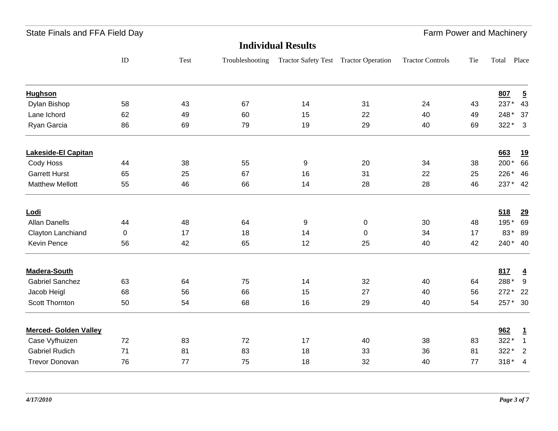| State Finals and FFA Field Day |  |  |
|--------------------------------|--|--|
|--------------------------------|--|--|

## Farm Power and Machinery

|                              |             |      |                 | <b>Individual Results</b>             |           |                         |     |          |                         |
|------------------------------|-------------|------|-----------------|---------------------------------------|-----------|-------------------------|-----|----------|-------------------------|
|                              | ${\rm ID}$  | Test | Troubleshooting | Tractor Safety Test Tractor Operation |           | <b>Tractor Controls</b> | Tie | Total    | Place                   |
| <b>Hughson</b>               |             |      |                 |                                       |           |                         |     | 807      | $\overline{5}$          |
| Dylan Bishop                 | 58          | 43   | 67              | 14                                    | 31        | 24                      | 43  | 237*     | 43                      |
| Lane Ichord                  | 62          | 49   | 60              | 15                                    | 22        | 40                      | 49  | 248*     | 37                      |
| Ryan Garcia                  | 86          | 69   | 79              | 19                                    | 29        | 40                      | 69  | 322*     | $\overline{\mathbf{3}}$ |
| <b>Lakeside-El Capitan</b>   |             |      |                 |                                       |           |                         |     | 663      | 19                      |
| Cody Hoss                    | 44          | 38   | 55              | 9                                     | 20        | 34                      | 38  | 200*     | 66                      |
| <b>Garrett Hurst</b>         | 65          | 25   | 67              | 16                                    | 31        | 22                      | 25  | 226*     | 46                      |
| <b>Matthew Mellott</b>       | 55          | 46   | 66              | 14                                    | 28        | 28                      | 46  | 237* 42  |                         |
| Lodi                         |             |      |                 |                                       |           |                         |     | 518      | 29                      |
| <b>Allan Danells</b>         | 44          | 48   | 64              | 9                                     | 0         | 30                      | 48  | 195*     | 69                      |
| Clayton Lanchiand            | $\mathbf 0$ | 17   | 18              | 14                                    | $\pmb{0}$ | 34                      | 17  | 83*      | 89                      |
| Kevin Pence                  | 56          | 42   | 65              | 12                                    | 25        | 40                      | 42  | 240* 40  |                         |
| <b>Madera-South</b>          |             |      |                 |                                       |           |                         |     | 817      | $\overline{4}$          |
| <b>Gabriel Sanchez</b>       | 63          | 64   | 75              | 14                                    | 32        | 40                      | 64  | 288*     | 9                       |
| Jacob Heigl                  | 68          | 56   | 66              | 15                                    | 27        | 40                      | 56  | $272*$   | 22                      |
| Scott Thornton               | 50          | 54   | 68              | 16                                    | 29        | 40                      | 54  | 257* 30  |                         |
| <b>Merced- Golden Valley</b> |             |      |                 |                                       |           |                         |     | 962      | $\overline{1}$          |
| Case Vyfhuizen               | 72          | 83   | 72              | 17                                    | 40        | 38                      | 83  | 322*     | $\mathbf{1}$            |
| <b>Gabriel Rudich</b>        | 71          | 81   | 83              | 18                                    | 33        | 36                      | 81  | 322*     | $\overline{2}$          |
| <b>Trevor Donovan</b>        | 76          | 77   | 75              | 18                                    | 32        | 40                      | 77  | $318* 4$ |                         |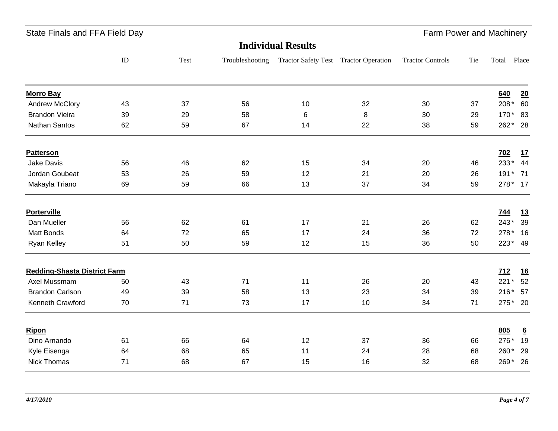State Finals and FFA Field Day **Farm Power and Machinery** State Finals and Machinery

| <b>Individual Results</b>           |    |      |                 |                                       |    |                         |     |             |                 |
|-------------------------------------|----|------|-----------------|---------------------------------------|----|-------------------------|-----|-------------|-----------------|
|                                     | ID | Test | Troubleshooting | Tractor Safety Test Tractor Operation |    | <b>Tractor Controls</b> | Tie | Total Place |                 |
| <b>Morro Bay</b>                    |    |      |                 |                                       |    |                         |     | 640         | 20              |
| <b>Andrew McClory</b>               | 43 | 37   | 56              | 10                                    | 32 | 30                      | 37  | 208*        | 60              |
| <b>Brandon Vieira</b>               | 39 | 29   | 58              | 6                                     | 8  | 30                      | 29  | 170*        | 83              |
| Nathan Santos                       | 62 | 59   | 67              | 14                                    | 22 | 38                      | 59  | 262*        | 28              |
| <b>Patterson</b>                    |    |      |                 |                                       |    |                         |     | 702         | <u>17</u>       |
| Jake Davis                          | 56 | 46   | 62              | 15                                    | 34 | 20                      | 46  | 233*        | 44              |
| Jordan Goubeat                      | 53 | 26   | 59              | 12                                    | 21 | 20                      | 26  | $191*$      | 71              |
| Makayla Triano                      | 69 | 59   | 66              | 13                                    | 37 | 34                      | 59  | 278* 17     |                 |
| <b>Porterville</b>                  |    |      |                 |                                       |    |                         |     | <u>744</u>  | <u>13</u>       |
| Dan Mueller                         | 56 | 62   | 61              | 17                                    | 21 | 26                      | 62  | 243*        | 39              |
| Matt Bonds                          | 64 | 72   | 65              | 17                                    | 24 | 36                      | 72  | 278*        | 16              |
| Ryan Kelley                         | 51 | 50   | 59              | 12                                    | 15 | 36                      | 50  | $223*$      | 49              |
| <b>Redding-Shasta District Farm</b> |    |      |                 |                                       |    |                         |     | 712         | <u>16</u>       |
| Axel Mussmam                        | 50 | 43   | 71              | 11                                    | 26 | 20                      | 43  | $221*$      | 52              |
| <b>Brandon Carlson</b>              | 49 | 39   | 58              | 13                                    | 23 | 34                      | 39  | $216*$      | 57              |
| Kenneth Crawford                    | 70 | 71   | 73              | 17                                    | 10 | 34                      | 71  | $275*$      | 20              |
| Ripon                               |    |      |                 |                                       |    |                         |     | 805         | $6\overline{6}$ |
| Dino Arnando                        | 61 | 66   | 64              | 12                                    | 37 | 36                      | 66  | 276*        | 19              |
| Kyle Eisenga                        | 64 | 68   | 65              | 11                                    | 24 | 28                      | 68  | 260*        | 29              |
| <b>Nick Thomas</b>                  | 71 | 68   | 67              | 15                                    | 16 | 32                      | 68  | 269*        | 26              |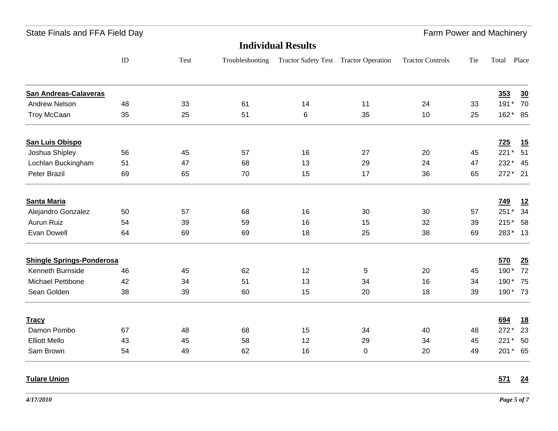| State Finals and FFA Field Day |  |  |  |  |  |
|--------------------------------|--|--|--|--|--|
|--------------------------------|--|--|--|--|--|

|                                  | <b>Individual Results</b> |      |                 |                                       |    |                         |     |         |                  |
|----------------------------------|---------------------------|------|-----------------|---------------------------------------|----|-------------------------|-----|---------|------------------|
|                                  | $\rm ID$                  | Test | Troubleshooting | Tractor Safety Test Tractor Operation |    | <b>Tractor Controls</b> | Tie | Total   | Place            |
| <b>San Andreas-Calaveras</b>     |                           |      |                 |                                       |    |                         |     | 353     | 30               |
| <b>Andrew Nelson</b>             | 48                        | 33   | 61              | 14                                    | 11 | 24                      | 33  | 191* 70 |                  |
| <b>Troy McCaan</b>               | 35                        | 25   | 51              | 6                                     | 35 | 10                      | 25  | 162* 85 |                  |
| <b>San Luis Obispo</b>           |                           |      |                 |                                       |    |                         |     | 725     | $\underline{15}$ |
| Joshua Shipley                   | 56                        | 45   | 57              | 16                                    | 27 | 20                      | 45  | $221*$  | 51               |
| Lochlan Buckingham               | 51                        | 47   | 68              | 13                                    | 29 | 24                      | 47  | 232* 45 |                  |
| Peter Brazil                     | 69                        | 65   | 70              | 15                                    | 17 | 36                      | 65  | 272* 21 |                  |
| <b>Santa Maria</b>               |                           |      |                 |                                       |    |                         |     | 749     | <u>12</u>        |
| Alejandro Gonzalez               | 50                        | 57   | 68              | 16                                    | 30 | 30                      | 57  | $251*$  | 34               |
| Aurun Ruiz                       | 54                        | 39   | 59              | 16                                    | 15 | 32                      | 39  | 215* 58 |                  |
| Evan Dowell                      | 64                        | 69   | 69              | 18                                    | 25 | 38                      | 69  | 283* 13 |                  |
| <b>Shingle Springs-Ponderosa</b> |                           |      |                 |                                       |    |                         |     | 570     | 25               |
| Kenneth Burnside                 | 46                        | 45   | 62              | 12                                    | 5  | 20                      | 45  | 190*    | 72               |
| Michael Pettibone                | 42                        | 34   | 51              | 13                                    | 34 | 16                      | 34  | 190* 75 |                  |
| Sean Golden                      | 38                        | 39   | 60              | 15                                    | 20 | 18                      | 39  | 190* 73 |                  |
| <b>Tracy</b>                     |                           |      |                 |                                       |    |                         |     | 694     | <u>18</u>        |
| Damon Pombo                      | 67                        | 48   | 68              | 15                                    | 34 | 40                      | 48  | $272*$  | 23               |
| <b>Elliott Mello</b>             | 43                        | 45   | 58              | 12                                    | 29 | 34                      | 45  | 221* 50 |                  |
| Sam Brown                        | 54                        | 49   | 62              | 16                                    | 0  | 20                      | 49  | 201* 65 |                  |

### **Tulare Union**

#### **571 24**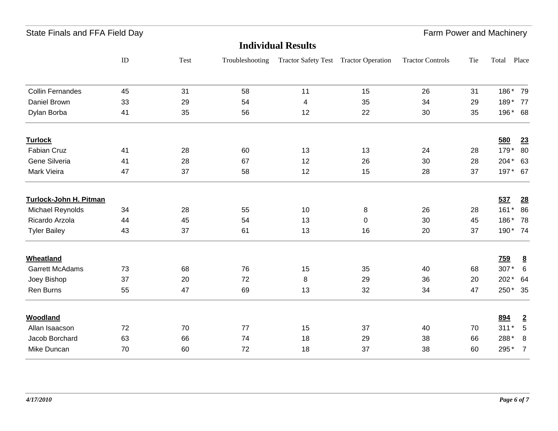State Finals and FFA Field Day **Farm Power and Machinery** State Farm Power and Machinery

| <b>Individual Results</b> |    |      |                 |                                       |           |                         |     |            |                 |
|---------------------------|----|------|-----------------|---------------------------------------|-----------|-------------------------|-----|------------|-----------------|
|                           | ID | Test | Troubleshooting | Tractor Safety Test Tractor Operation |           | <b>Tractor Controls</b> | Tie | Total      | Place           |
| <b>Collin Fernandes</b>   | 45 | 31   | 58              | 11                                    | 15        | 26                      | 31  | 186* 79    |                 |
| Daniel Brown              | 33 | 29   | 54              | $\overline{\mathcal{A}}$              | 35        | 34                      | 29  | 189* 77    |                 |
| Dylan Borba               | 41 | 35   | 56              | 12                                    | 22        | 30                      | 35  | 196* 68    |                 |
| <b>Turlock</b>            |    |      |                 |                                       |           |                         |     | 580        | 23              |
| Fabian Cruz               | 41 | 28   | 60              | 13                                    | 13        | 24                      | 28  | $179*$     | 80              |
| Gene Silveria             | 41 | 28   | 67              | 12                                    | 26        | 30                      | 28  | 204* 63    |                 |
| Mark Vieira               | 47 | 37   | 58              | 12                                    | 15        | 28                      | 37  | 197* 67    |                 |
| Turlock-John H. Pitman    |    |      |                 |                                       |           |                         |     | 537        | 28              |
| Michael Reynolds          | 34 | 28   | 55              | 10                                    | 8         | 26                      | 28  | $161*$     | 86              |
| Ricardo Arzola            | 44 | 45   | 54              | 13                                    | $\pmb{0}$ | 30                      | 45  | 186*       | 78              |
| <b>Tyler Bailey</b>       | 43 | 37   | 61              | 13                                    | 16        | 20                      | 37  | 190* 74    |                 |
| <b>Wheatland</b>          |    |      |                 |                                       |           |                         |     | <b>759</b> | $\underline{8}$ |
| <b>Garrett McAdams</b>    | 73 | 68   | 76              | 15                                    | 35        | 40                      | 68  | 307*       | $6\phantom{1}6$ |
| Joey Bishop               | 37 | 20   | 72              | 8                                     | 29        | 36                      | 20  | $202*$     | 64              |
| Ren Burns                 | 55 | 47   | 69              | 13                                    | 32        | 34                      | 47  | 250* 35    |                 |
| <b>Woodland</b>           |    |      |                 |                                       |           |                         |     | 894        | $\overline{2}$  |
| Allan Isaacson            | 72 | 70   | 77              | 15                                    | 37        | 40                      | 70  | $311*$     | $\sqrt{5}$      |
| Jacob Borchard            | 63 | 66   | 74              | 18                                    | 29        | 38                      | 66  | 288*       | 8               |
| Mike Duncan               | 70 | 60   | 72              | 18                                    | 37        | 38                      | 60  | 295*       | $\overline{7}$  |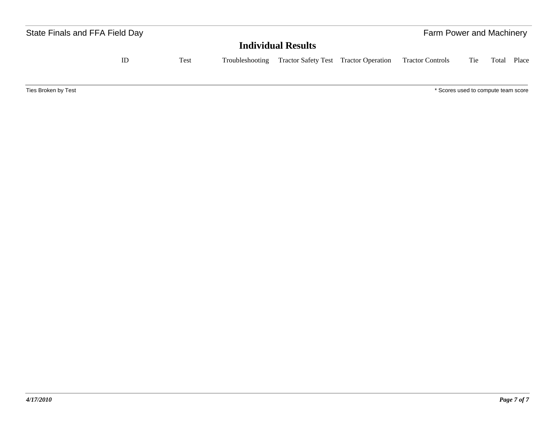| State Finals and FFA Field Day |    |      |                 |                                       | Farm Power and Machinery            |     |       |       |  |
|--------------------------------|----|------|-----------------|---------------------------------------|-------------------------------------|-----|-------|-------|--|
|                                |    |      |                 | <b>Individual Results</b>             |                                     |     |       |       |  |
|                                | ID | Test | Troubleshooting | Tractor Safety Test Tractor Operation | <b>Tractor Controls</b>             | Tie | Total | Place |  |
| Ties Broken by Test            |    |      |                 |                                       | * Scores used to compute team score |     |       |       |  |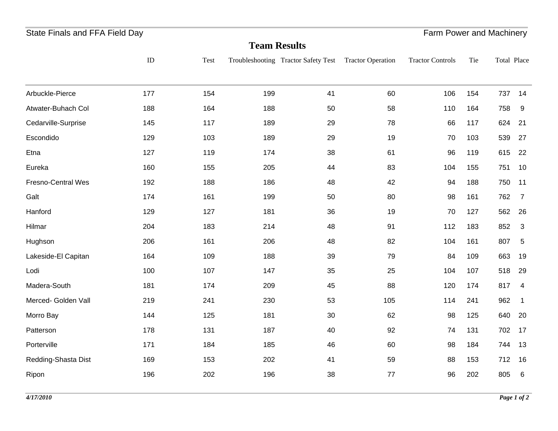| State Finals and FFA Field Day |     |      |                     | Farm Power and Machinery            |                          |                         |     |             |                 |
|--------------------------------|-----|------|---------------------|-------------------------------------|--------------------------|-------------------------|-----|-------------|-----------------|
|                                |     |      | <b>Team Results</b> |                                     |                          |                         |     |             |                 |
|                                | ID  | Test |                     | Troubleshooting Tractor Safety Test | <b>Tractor Operation</b> | <b>Tractor Controls</b> | Tie | Total Place |                 |
|                                |     |      |                     |                                     |                          |                         |     |             |                 |
| Arbuckle-Pierce                | 177 | 154  | 199                 | 41                                  | 60                       | 106                     | 154 | 737         | 14              |
| Atwater-Buhach Col             | 188 | 164  | 188                 | 50                                  | 58                       | 110                     | 164 | 758         | 9               |
| Cedarville-Surprise            | 145 | 117  | 189                 | 29                                  | 78                       | 66                      | 117 | 624         | 21              |
| Escondido                      | 129 | 103  | 189                 | 29                                  | 19                       | 70                      | 103 | 539         | 27              |
| Etna                           | 127 | 119  | 174                 | 38                                  | 61                       | 96                      | 119 | 615         | 22              |
| Eureka                         | 160 | 155  | 205                 | 44                                  | 83                       | 104                     | 155 | 751         | 10              |
| Fresno-Central Wes             | 192 | 188  | 186                 | 48                                  | 42                       | 94                      | 188 | 750         | 11              |
| Galt                           | 174 | 161  | 199                 | 50                                  | 80                       | 98                      | 161 | 762         | $\overline{7}$  |
| Hanford                        | 129 | 127  | 181                 | 36                                  | 19                       | 70                      | 127 | 562         | 26              |
| Hilmar                         | 204 | 183  | 214                 | 48                                  | 91                       | 112                     | 183 | 852         | 3               |
| Hughson                        | 206 | 161  | 206                 | 48                                  | 82                       | 104                     | 161 | 807         | 5               |
| Lakeside-El Capitan            | 164 | 109  | 188                 | 39                                  | 79                       | 84                      | 109 | 663         | 19              |
| Lodi                           | 100 | 107  | 147                 | 35                                  | 25                       | 104                     | 107 | 518         | 29              |
| Madera-South                   | 181 | 174  | 209                 | 45                                  | 88                       | 120                     | 174 | 817         | 4               |
| Merced- Golden Vall            | 219 | 241  | 230                 | 53                                  | 105                      | 114                     | 241 | 962         | $\mathbf{1}$    |
| Morro Bay                      | 144 | 125  | 181                 | 30                                  | 62                       | 98                      | 125 | 640         | 20              |
| Patterson                      | 178 | 131  | 187                 | 40                                  | 92                       | 74                      | 131 | 702         | 17              |
| Porterville                    | 171 | 184  | 185                 | 46                                  | 60                       | 98                      | 184 | 744         | 13              |
| Redding-Shasta Dist            | 169 | 153  | 202                 | 41                                  | 59                       | 88                      | 153 | 712         | 16              |
| Ripon                          | 196 | 202  | 196                 | 38                                  | 77                       | 96                      | 202 | 805         | $6\phantom{1}6$ |
|                                |     |      |                     |                                     |                          |                         |     |             |                 |